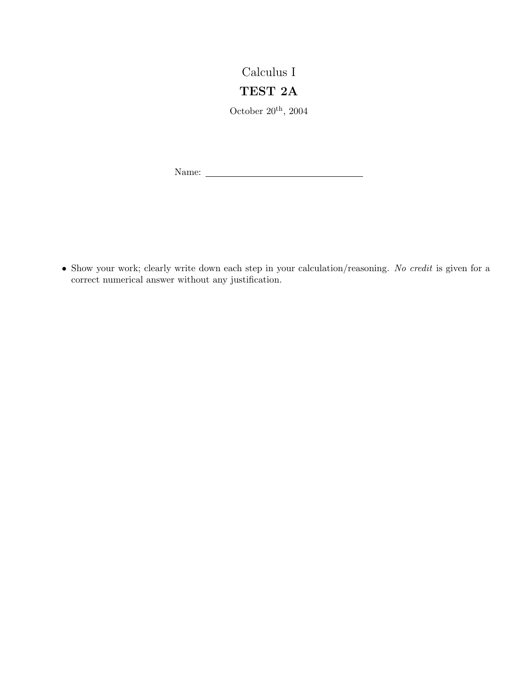## Calculus I

## TEST 2A

October  $20^{\text{th}}$ ,  $2004$ 

Name:

• Show your work; clearly write down each step in your calculation/reasoning. No credit is given for a correct numerical answer without any justification.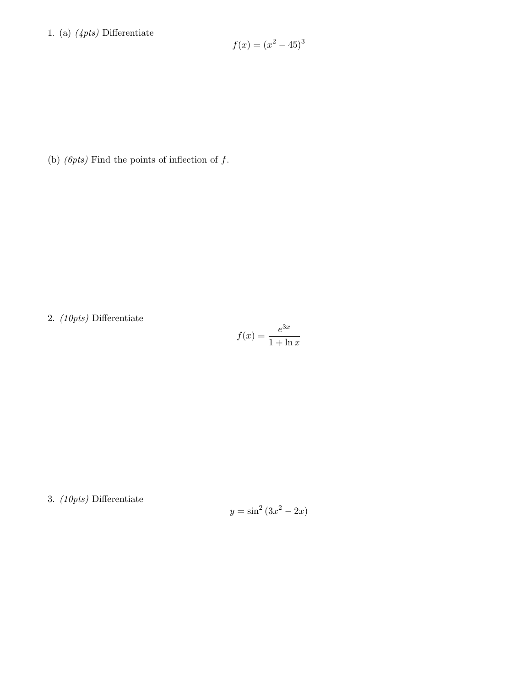## 1. (a) (4pts) Differentiate

$$
f(x) = (x^2 - 45)^3
$$

(b)  $(\text{6pts})$  Find the points of inflection of  $f$ .

2. (10pts) Differentiate

$$
f(x) = \frac{e^{3x}}{1 + \ln x}
$$

3. (10pts) Differentiate

$$
y = \sin^2\left(3x^2 - 2x\right)
$$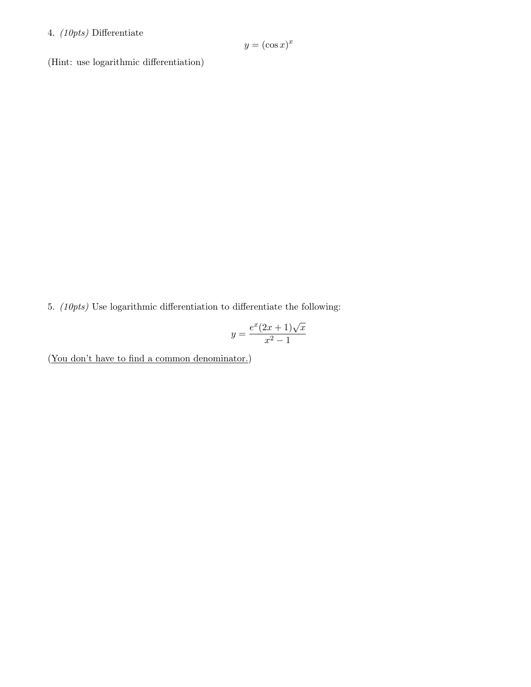## 4. (10pts) Differentiate

$$
y = (\cos x)^x
$$

(Hint: use logarithmic differentiation)

5. (10pts) Use logarithmic differentiation to differentiate the following:

$$
y = \frac{e^x (2x+1)\sqrt{x}}{x^2 - 1}
$$

(You don't have to find a common denominator.)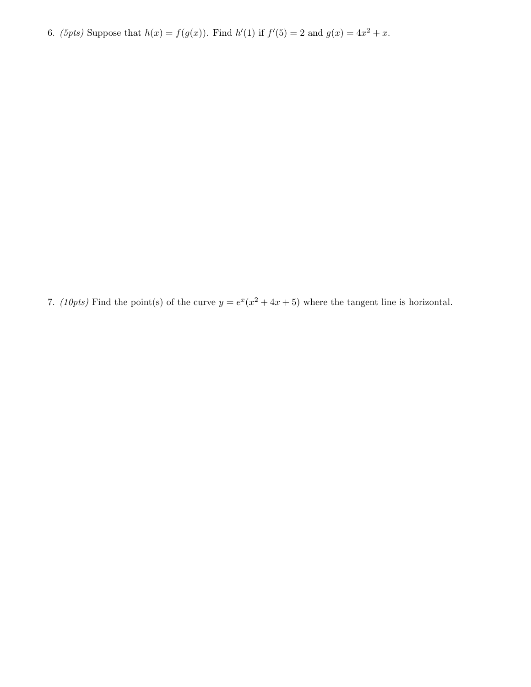6. (5pts) Suppose that  $h(x) = f(g(x))$ . Find  $h'(1)$  if  $f'(5) = 2$  and  $g(x) = 4x^2 + x$ .

7. (10pts) Find the point(s) of the curve  $y = e^x(x^2 + 4x + 5)$  where the tangent line is horizontal.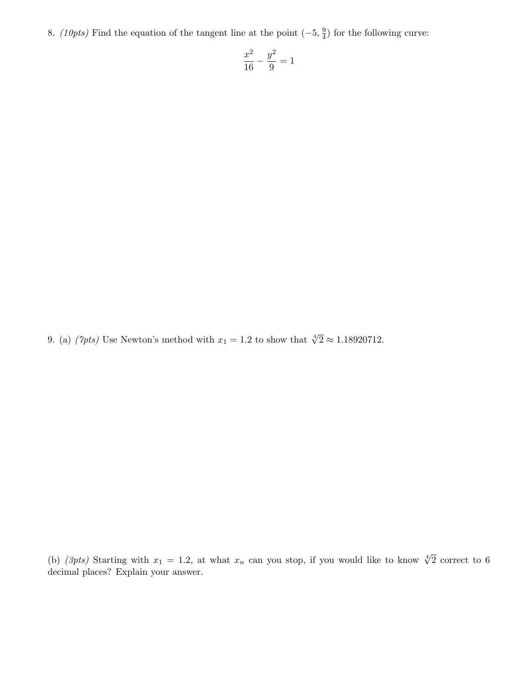8. (10pts) Find the equation of the tangent line at the point  $(-5, \frac{9}{4})$  $\frac{9}{4}$ ) for the following curve:

$$
\frac{x^2}{16} - \frac{y^2}{9} = 1
$$

9. (a) ( $\gamma_{pts}$ ) Use Newton's method with  $x_1 = 1.2$  to show that  $\sqrt[4]{2} \approx 1.18920712$ .

(b) (3pts) Starting with  $x_1 = 1.2$ , at what  $x_n$  can you stop, if you would like to know  $\sqrt[4]{2}$  correct to 6 decimal places? Explain your answer.